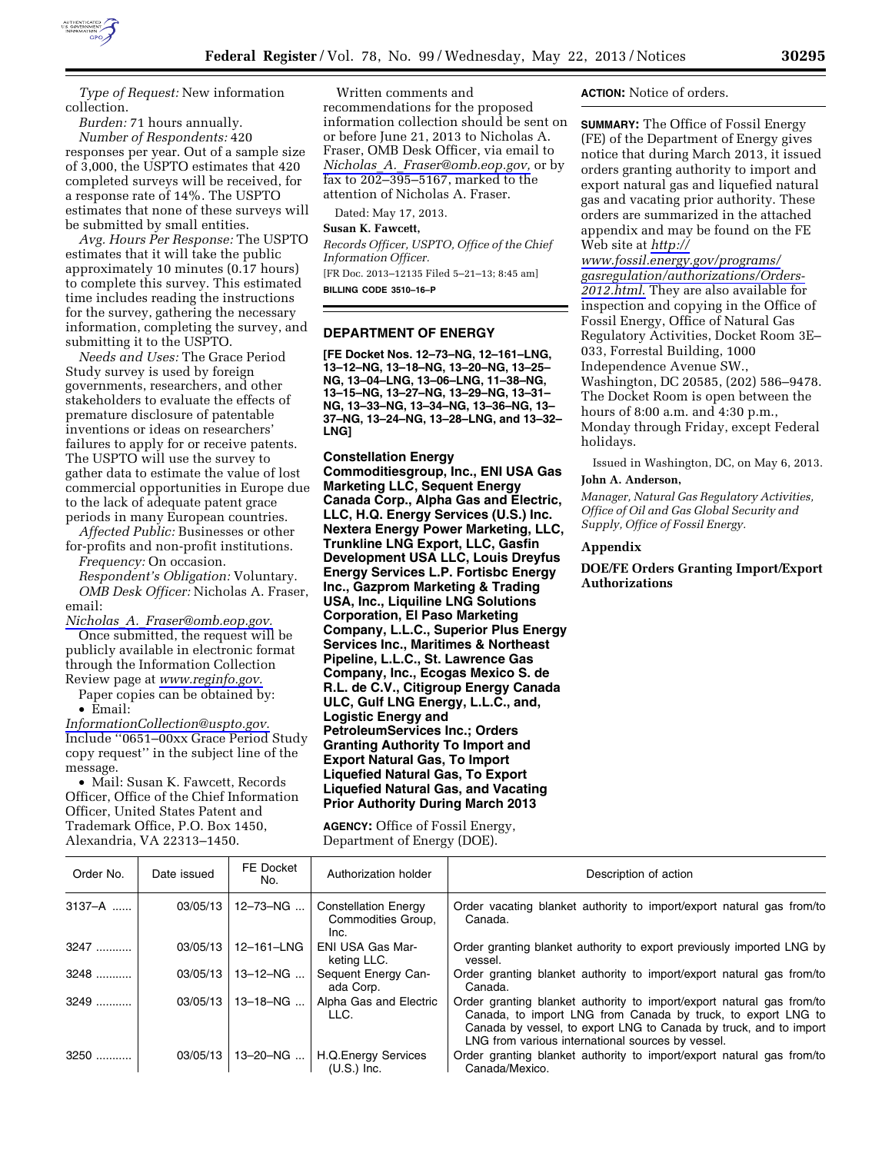

*Type of Request:* New information collection.

*Burden:* 71 hours annually. *Number of Respondents:* 420

responses per year. Out of a sample size of 3,000, the USPTO estimates that 420 completed surveys will be received, for a response rate of 14%. The USPTO estimates that none of these surveys will be submitted by small entities.

*Avg. Hours Per Response:* The USPTO estimates that it will take the public approximately 10 minutes (0.17 hours) to complete this survey. This estimated time includes reading the instructions for the survey, gathering the necessary information, completing the survey, and submitting it to the USPTO.

*Needs and Uses:* The Grace Period Study survey is used by foreign governments, researchers, and other stakeholders to evaluate the effects of premature disclosure of patentable inventions or ideas on researchers' failures to apply for or receive patents. The USPTO will use the survey to gather data to estimate the value of lost commercial opportunities in Europe due to the lack of adequate patent grace periods in many European countries.

*Affected Public:* Businesses or other for-profits and non-profit institutions.

*Frequency:* On occasion.

*Respondent's Obligation:* Voluntary. *OMB Desk Officer:* Nicholas A. Fraser, email:

*Nicholas*\_*A.*\_*[Fraser@omb.eop.gov.](mailto:Nicholas_A._Fraser@omb.eop.gov)* 

Once submitted, the request will be publicly available in electronic format through the Information Collection Review page at *[www.reginfo.gov.](http://www.reginfo.gov)* 

Paper copies can be obtained by: • Email:

*[InformationCollection@uspto.gov.](mailto:InformationCollection@uspto.gov)*  Include ''0651–00xx Grace Period Study copy request'' in the subject line of the message.

• Mail: Susan K. Fawcett, Records Officer, Office of the Chief Information Officer, United States Patent and Trademark Office, P.O. Box 1450, Alexandria, VA 22313–1450.

Written comments and recommendations for the proposed information collection should be sent on or before June 21, 2013 to Nicholas A. Fraser, OMB Desk Officer, via email to *Nicholas*\_*A.*\_*[Fraser@omb.eop.gov,](mailto:Nicholas_A._Fraser@omb.eop.gov)* or by fax to 202–395–5167, marked to the attention of Nicholas A. Fraser.

Dated: May 17, 2013.

# **Susan K. Fawcett,**

*Records Officer, USPTO, Office of the Chief Information Officer.*  [FR Doc. 2013–12135 Filed 5–21–13; 8:45 am]

**BILLING CODE 3510–16–P** 

## **DEPARTMENT OF ENERGY**

**[FE Docket Nos. 12–73–NG, 12–161–LNG, 13–12–NG, 13–18–NG, 13–20–NG, 13–25– NG, 13–04–LNG, 13–06–LNG, 11–38–NG, 13–15–NG, 13–27–NG, 13–29–NG, 13–31– NG, 13–33–NG, 13–34–NG, 13–36–NG, 13– 37–NG, 13–24–NG, 13–28–LNG, and 13–32– LNG]** 

#### **Constellation Energy**

**Commoditiesgroup, Inc., ENI USA Gas Marketing LLC, Sequent Energy Canada Corp., Alpha Gas and Electric, LLC, H.Q. Energy Services (U.S.) Inc. Nextera Energy Power Marketing, LLC, Trunkline LNG Export, LLC, Gasfin Development USA LLC, Louis Dreyfus Energy Services L.P. Fortisbc Energy Inc., Gazprom Marketing & Trading USA, Inc., Liquiline LNG Solutions Corporation, El Paso Marketing Company, L.L.C., Superior Plus Energy Services Inc., Maritimes & Northeast Pipeline, L.L.C., St. Lawrence Gas Company, Inc., Ecogas Mexico S. de R.L. de C.V., Citigroup Energy Canada ULC, Gulf LNG Energy, L.L.C., and, Logistic Energy and PetroleumServices Inc.; Orders Granting Authority To Import and Export Natural Gas, To Import Liquefied Natural Gas, To Export Liquefied Natural Gas, and Vacating Prior Authority During March 2013** 

**AGENCY:** Office of Fossil Energy, Department of Energy (DOE).

### **ACTION:** Notice of orders.

**SUMMARY:** The Office of Fossil Energy (FE) of the Department of Energy gives notice that during March 2013, it issued orders granting authority to import and export natural gas and liquefied natural gas and vacating prior authority. These orders are summarized in the attached appendix and may be found on the FE Web site at *[http://](http://www.fossil.energy.gov/programs/gasregulation/authorizations/Orders-2012.html)* 

*[www.fossil.energy.gov/programs/](http://www.fossil.energy.gov/programs/gasregulation/authorizations/Orders-2012.html) [gasregulation/authorizations/Orders-](http://www.fossil.energy.gov/programs/gasregulation/authorizations/Orders-2012.html)[2012.html](http://www.fossil.energy.gov/programs/gasregulation/authorizations/Orders-2012.html)*. They are also available for inspection and copying in the Office of Fossil Energy, Office of Natural Gas Regulatory Activities, Docket Room 3E– 033, Forrestal Building, 1000 Independence Avenue SW., Washington, DC 20585, (202) 586–9478. The Docket Room is open between the hours of 8:00 a.m. and 4:30 p.m., Monday through Friday, except Federal holidays.

Issued in Washington, DC, on May 6, 2013. **John A. Anderson,** 

*Manager, Natural Gas Regulatory Activities, Office of Oil and Gas Global Security and Supply, Office of Fossil Energy.* 

## **Appendix**

**DOE/FE Orders Granting Import/Export Authorizations** 

| Order No.  | Date issued | FE Docket<br>No. | Authorization holder                                      | Description of action                                                                                                                                                                                                                                           |
|------------|-------------|------------------|-----------------------------------------------------------|-----------------------------------------------------------------------------------------------------------------------------------------------------------------------------------------------------------------------------------------------------------------|
|            |             |                  |                                                           |                                                                                                                                                                                                                                                                 |
| $3137 - A$ | 03/05/13    | $12 - 73 - NG$   | <b>Constellation Energy</b><br>Commodities Group,<br>Inc. | Order vacating blanket authority to import/export natural gas from/to<br>Canada.                                                                                                                                                                                |
| 3247       | 03/05/13    | 12-161-LNG       | <b>ENI USA Gas Mar-</b><br>keting LLC.                    | Order granting blanket authority to export previously imported LNG by<br>vessel.                                                                                                                                                                                |
| 3248       | 03/05/13    | $13 - 12 - NG$   | Sequent Energy Can-<br>ada Corp.                          | Order granting blanket authority to import/export natural gas from/to<br>Canada.                                                                                                                                                                                |
| $3249$     | 03/05/13    | $13 - 18 - NG$   | Alpha Gas and Electric<br>LLC.                            | Order granting blanket authority to import/export natural gas from/to<br>Canada, to import LNG from Canada by truck, to export LNG to<br>Canada by vessel, to export LNG to Canada by truck, and to import<br>LNG from various international sources by vessel. |
| $3250$     | 03/05/13    | 13-20-NG         | <b>H.Q.Energy Services</b><br>$(U.S.)$ Inc.               | Order granting blanket authority to import/export natural gas from/to<br>Canada/Mexico.                                                                                                                                                                         |